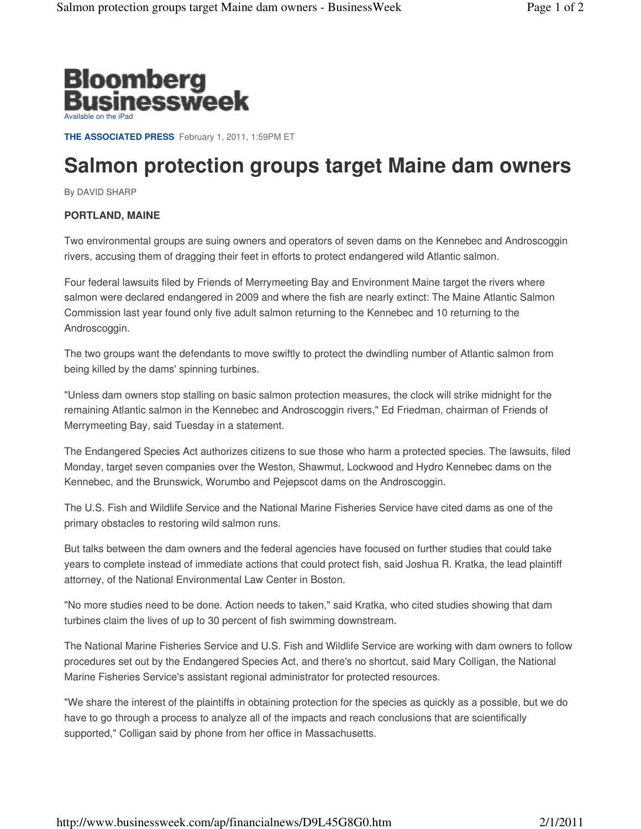

**THE ASSOCIATED PRESS** February 1, 2011, 1:59PM ET

## **Salmon protection groups target Maine dam owners**

By DAVID SHARP

## **PORTLAND, MAINE**

Two environmental groups are suing owners and operators of seven dams on the Kennebec and Androscoggin rivers, accusing them of dragging their feet in efforts to protect endangered wild Atlantic salmon.

Four federal lawsuits filed by Friends of Merrymeeting Bay and Environment Maine target the rivers where salmon were declared endangered in 2009 and where the fish are nearly extinct: The Maine Atlantic Salmon Commission last year found only five adult salmon returning to the Kennebec and 10 returning to the Androscoggin.

The two groups want the defendants to move swiftly to protect the dwindling number of Atlantic salmon from being killed by the dams' spinning turbines.

"Unless dam owners stop stalling on basic salmon protection measures, the clock will strike midnight for the remaining Atlantic salmon in the Kennebec and Androscoggin rivers," Ed Friedman, chairman of Friends of Merrymeeting Bay, said Tuesday in a statement.

The Endangered Species Act authorizes citizens to sue those who harm a protected species. The lawsuits, filed Monday, target seven companies over the Weston, Shawmut, Lockwood and Hydro Kennebec dams on the Kennebec, and the Brunswick, Worumbo and Pejepscot dams on the Androscoggin.

The U.S. Fish and Wildlife Service and the National Marine Fisheries Service have cited dams as one of the primary obstacles to restoring wild salmon runs.

But talks between the dam owners and the federal agencies have focused on further studies that could take years to complete instead of immediate actions that could protect fish, said Joshua R. Kratka, the lead plaintiff attorney, of the National Environmental Law Center in Boston.

"No more studies need to be done. Action needs to taken," said Kratka, who cited studies showing that dam turbines claim the lives of up to 30 percent of fish swimming downstream.

The National Marine Fisheries Service and U.S. Fish and Wildlife Service are working with dam owners to follow procedures set out by the Endangered Species Act, and there's no shortcut, said Mary Colligan, the National Marine Fisheries Service's assistant regional administrator for protected resources.

"We share the interest of the plaintiffs in obtaining protection for the species as quickly as a possible, but we do have to go through a process to analyze all of the impacts and reach conclusions that are scientifically supported," Colligan said by phone from her office in Massachusetts.